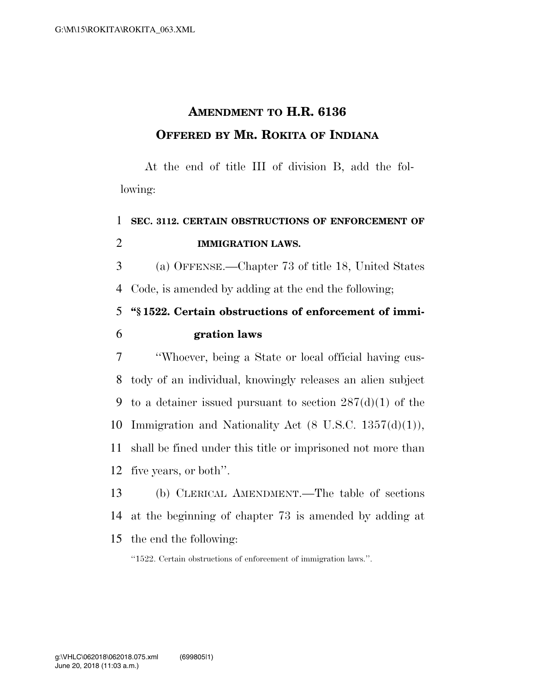## **AMENDMENT TO H.R. 6136 OFFERED BY MR. ROKITA OF INDIANA**

At the end of title III of division B, add the following:

## 1 **SEC. 3112. CERTAIN OBSTRUCTIONS OF ENFORCEMENT OF**  2 **IMMIGRATION LAWS.**  3 (a) OFFENSE.—Chapter 73 of title 18, United States 4 Code, is amended by adding at the end the following; 5 **''§ 1522. Certain obstructions of enforcement of immi-**6 **gration laws**  7 ''Whoever, being a State or local official having cus-8 tody of an individual, knowingly releases an alien subject 9 to a detainer issued pursuant to section  $287(d)(1)$  of the 10 Immigration and Nationality Act  $(8 \text{ U.S.C. } 1357(\text{d})(1)),$ 11 shall be fined under this title or imprisoned not more than 12 five years, or both''. 13 (b) CLERICAL AMENDMENT.—The table of sections

- 14 at the beginning of chapter 73 is amended by adding at
- 15 the end the following:
	- ''1522. Certain obstructions of enforcement of immigration laws.''.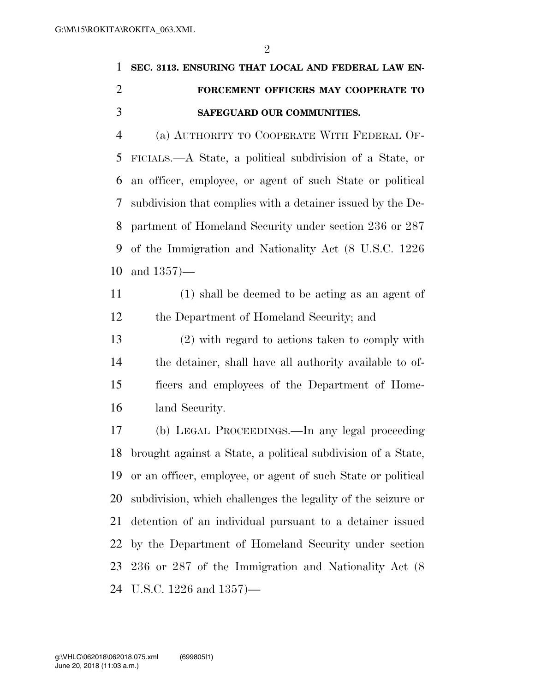$\mathfrak{D}$ 

## **SEC. 3113. ENSURING THAT LOCAL AND FEDERAL LAW EN- FORCEMENT OFFICERS MAY COOPERATE TO SAFEGUARD OUR COMMUNITIES.**

 (a) AUTHORITY TO COOPERATE WITH FEDERAL OF- FICIALS.—A State, a political subdivision of a State, or an officer, employee, or agent of such State or political subdivision that complies with a detainer issued by the De- partment of Homeland Security under section 236 or 287 of the Immigration and Nationality Act (8 U.S.C. 1226 and 1357)—

 (1) shall be deemed to be acting as an agent of the Department of Homeland Security; and

 (2) with regard to actions taken to comply with the detainer, shall have all authority available to of- ficers and employees of the Department of Home-land Security.

 (b) LEGAL PROCEEDINGS.—In any legal proceeding brought against a State, a political subdivision of a State, or an officer, employee, or agent of such State or political subdivision, which challenges the legality of the seizure or detention of an individual pursuant to a detainer issued by the Department of Homeland Security under section 236 or 287 of the Immigration and Nationality Act (8 U.S.C. 1226 and 1357)—